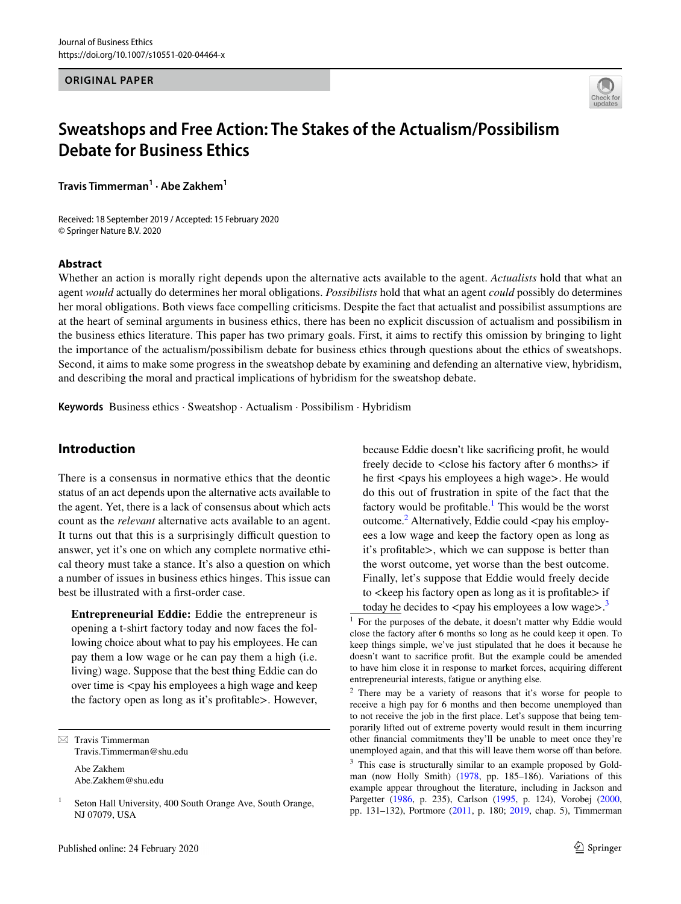#### **ORIGINAL PAPER**



# **Sweatshops and Free Action: The Stakes of the Actualism/Possibilism Debate for Business Ethics**

**Travis Timmerman1 · Abe Zakhem1**

Received: 18 September 2019 / Accepted: 15 February 2020 © Springer Nature B.V. 2020

#### **Abstract**

Whether an action is morally right depends upon the alternative acts available to the agent. *Actualists* hold that what an agent *would* actually do determines her moral obligations. *Possibilists* hold that what an agent *could* possibly do determines her moral obligations. Both views face compelling criticisms. Despite the fact that actualist and possibilist assumptions are at the heart of seminal arguments in business ethics, there has been no explicit discussion of actualism and possibilism in the business ethics literature. This paper has two primary goals. First, it aims to rectify this omission by bringing to light the importance of the actualism/possibilism debate for business ethics through questions about the ethics of sweatshops. Second, it aims to make some progress in the sweatshop debate by examining and defending an alternative view, hybridism, and describing the moral and practical implications of hybridism for the sweatshop debate.

**Keywords** Business ethics · Sweatshop · Actualism · Possibilism · Hybridism

# **Introduction**

There is a consensus in normative ethics that the deontic status of an act depends upon the alternative acts available to the agent. Yet, there is a lack of consensus about which acts count as the *relevant* alternative acts available to an agent. It turns out that this is a surprisingly difficult question to answer, yet it's one on which any complete normative ethical theory must take a stance. It's also a question on which a number of issues in business ethics hinges. This issue can best be illustrated with a frst-order case.

**Entrepreneurial Eddie:** Eddie the entrepreneur is opening a t-shirt factory today and now faces the following choice about what to pay his employees. He can pay them a low wage or he can pay them a high (i.e. living) wage. Suppose that the best thing Eddie can do over time is  $\langle$  pay his employees a high wage and keep the factory open as long as it's proftable>. However,

 $\boxtimes$  Travis Timmerman Travis.Timmerman@shu.edu

> Abe Zakhem Abe.Zakhem@shu.edu

because Eddie doesn't like sacrifcing proft, he would freely decide to <close his factory after 6 months> if he first <pays his employees a high wage>. He would do this out of frustration in spite of the fact that the factory would be profitable.<sup>1</sup> This would be the worst outcome.<sup>[2](#page-0-1)</sup> Alternatively, Eddie could <pay his employees a low wage and keep the factory open as long as it's proftable>, which we can suppose is better than the worst outcome, yet worse than the best outcome. Finally, let's suppose that Eddie would freely decide to <keep his factory open as long as it is profitable> if today he decides to  $\langle$  pay his employees a low wage $>$ .<sup>3</sup>

<sup>&</sup>lt;sup>1</sup> Seton Hall University, 400 South Orange Ave, South Orange, NJ 07079, USA

<span id="page-0-0"></span><sup>&</sup>lt;sup>1</sup> For the purposes of the debate, it doesn't matter why Eddie would close the factory after 6 months so long as he could keep it open. To keep things simple, we've just stipulated that he does it because he doesn't want to sacrifce proft. But the example could be amended to have him close it in response to market forces, acquiring diferent entrepreneurial interests, fatigue or anything else.

<span id="page-0-2"></span><span id="page-0-1"></span><sup>2</sup> There may be a variety of reasons that it's worse for people to receive a high pay for 6 months and then become unemployed than to not receive the job in the frst place. Let's suppose that being temporarily lifted out of extreme poverty would result in them incurring other fnancial commitments they'll be unable to meet once they're unemployed again, and that this will leave them worse off than before. <sup>3</sup> This case is structurally similar to an example proposed by Goldman (now Holly Smith) [\(1978](#page-10-0), pp. 185–186). Variations of this example appear throughout the literature, including in Jackson and Pargetter ([1986,](#page-10-1) p. 235), Carlson [\(1995](#page-10-2), p. 124), Vorobej [\(2000](#page-11-0), pp. 131–132), Portmore ([2011,](#page-11-1) p. 180; [2019](#page-11-2), chap. 5), Timmerman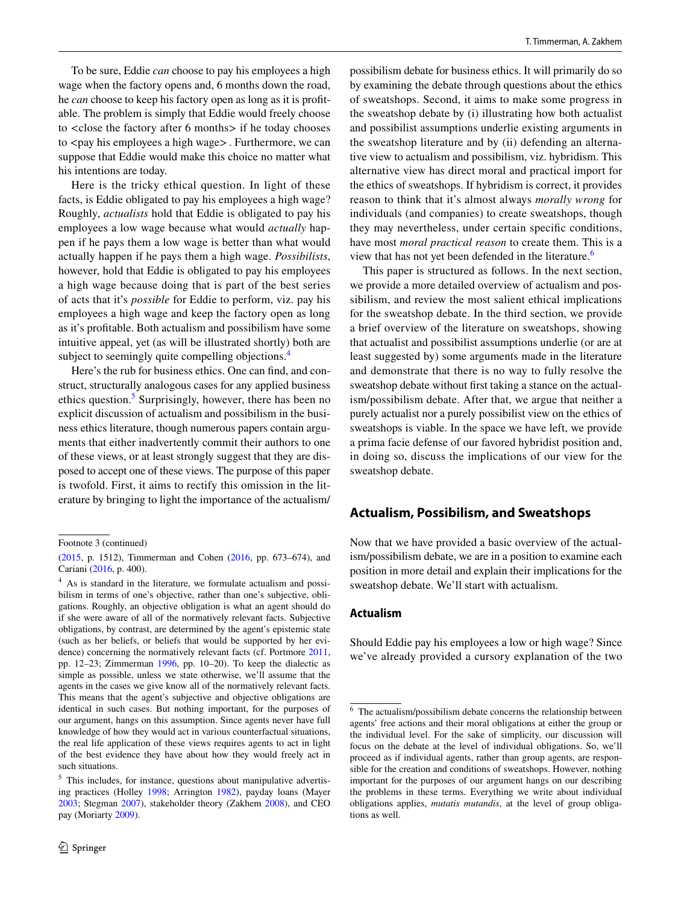To be sure, Eddie *can* choose to pay his employees a high wage when the factory opens and, 6 months down the road, he *can* choose to keep his factory open as long as it is proftable. The problem is simply that Eddie would freely choose to <close the factory after 6 months> if he today chooses to <pay his employees a high wage>. Furthermore, we can suppose that Eddie would make this choice no matter what his intentions are today.

Here is the tricky ethical question. In light of these facts, is Eddie obligated to pay his employees a high wage? Roughly, *actualists* hold that Eddie is obligated to pay his employees a low wage because what would *actually* happen if he pays them a low wage is better than what would actually happen if he pays them a high wage. *Possibilists*, however, hold that Eddie is obligated to pay his employees a high wage because doing that is part of the best series of acts that it's *possible* for Eddie to perform, viz. pay his employees a high wage and keep the factory open as long as it's proftable. Both actualism and possibilism have some intuitive appeal, yet (as will be illustrated shortly) both are subject to seemingly quite compelling objections.<sup>[4](#page-1-0)</sup>

Here's the rub for business ethics. One can fnd, and construct, structurally analogous cases for any applied business ethics question.<sup>[5](#page-1-1)</sup> Surprisingly, however, there has been no explicit discussion of actualism and possibilism in the business ethics literature, though numerous papers contain arguments that either inadvertently commit their authors to one of these views, or at least strongly suggest that they are disposed to accept one of these views. The purpose of this paper is twofold. First, it aims to rectify this omission in the literature by bringing to light the importance of the actualism/

possibilism debate for business ethics. It will primarily do so by examining the debate through questions about the ethics of sweatshops. Second, it aims to make some progress in the sweatshop debate by (i) illustrating how both actualist and possibilist assumptions underlie existing arguments in the sweatshop literature and by (ii) defending an alternative view to actualism and possibilism, viz. hybridism. This alternative view has direct moral and practical import for the ethics of sweatshops. If hybridism is correct, it provides reason to think that it's almost always *morally wrong* for individuals (and companies) to create sweatshops, though they may nevertheless, under certain specifc conditions, have most *moral practical reason* to create them. This is a view that has not yet been defended in the literature.<sup>[6](#page-1-2)</sup>

This paper is structured as follows. In the next section, we provide a more detailed overview of actualism and possibilism, and review the most salient ethical implications for the sweatshop debate. In the third section, we provide a brief overview of the literature on sweatshops, showing that actualist and possibilist assumptions underlie (or are at least suggested by) some arguments made in the literature and demonstrate that there is no way to fully resolve the sweatshop debate without frst taking a stance on the actualism/possibilism debate. After that, we argue that neither a purely actualist nor a purely possibilist view on the ethics of sweatshops is viable. In the space we have left, we provide a prima facie defense of our favored hybridist position and, in doing so, discuss the implications of our view for the sweatshop debate.

## **Actualism, Possibilism, and Sweatshops**

Now that we have provided a basic overview of the actualism/possibilism debate, we are in a position to examine each position in more detail and explain their implications for the sweatshop debate. We'll start with actualism.

#### **Actualism**

Should Eddie pay his employees a low or high wage? Since we've already provided a cursory explanation of the two

Footnote 3 (continued)

<sup>(</sup>[2015,](#page-11-6) p. 1512), Timmerman and Cohen ([2016,](#page-11-7) pp. 673–674), and Cariani [\(2016](#page-10-7), p. 400).

<span id="page-1-0"></span><sup>&</sup>lt;sup>4</sup> As is standard in the literature, we formulate actualism and possibilism in terms of one's objective, rather than one's subjective, obligations. Roughly, an objective obligation is what an agent should do if she were aware of all of the normatively relevant facts. Subjective obligations, by contrast, are determined by the agent's epistemic state (such as her beliefs, or beliefs that would be supported by her evidence) concerning the normatively relevant facts (cf. Portmore [2011,](#page-11-1) pp. 12–23; Zimmerman [1996,](#page-11-3) pp. 10–20). To keep the dialectic as simple as possible, unless we state otherwise, we'll assume that the agents in the cases we give know all of the normatively relevant facts. This means that the agent's subjective and objective obligations are identical in such cases. But nothing important, for the purposes of our argument, hangs on this assumption. Since agents never have full knowledge of how they would act in various counterfactual situations, the real life application of these views requires agents to act in light of the best evidence they have about how they would freely act in such situations.

<span id="page-1-1"></span><sup>5</sup> This includes, for instance, questions about manipulative advertising practices (Holley [1998;](#page-10-3) Arrington [1982\)](#page-10-4), payday loans (Mayer [2003](#page-10-5); Stegman [2007](#page-11-4)), stakeholder theory (Zakhem [2008\)](#page-11-5), and CEO pay (Moriarty [2009\)](#page-10-6).

<span id="page-1-2"></span><sup>6</sup> The actualism/possibilism debate concerns the relationship between agents' free actions and their moral obligations at either the group or the individual level. For the sake of simplicity, our discussion will focus on the debate at the level of individual obligations. So, we'll proceed as if individual agents, rather than group agents, are responsible for the creation and conditions of sweatshops. However, nothing important for the purposes of our argument hangs on our describing the problems in these terms. Everything we write about individual obligations applies, *mutatis mutandis*, at the level of group obligations as well.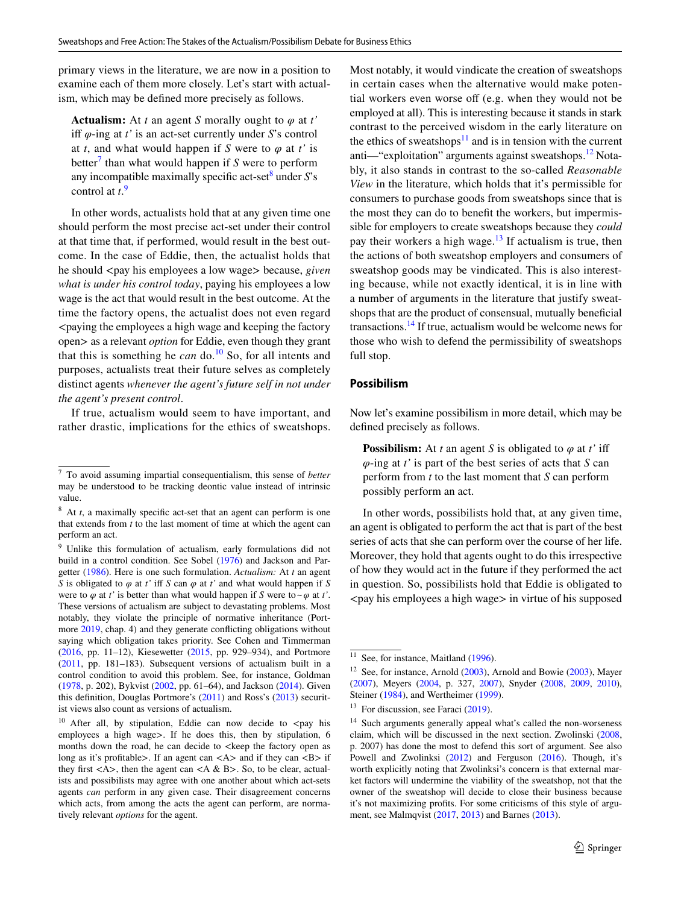primary views in the literature, we are now in a position to examine each of them more closely. Let's start with actualism, which may be defned more precisely as follows.

**Actualism:** At *t* an agent *S* morally ought to *φ* at *t'* iff  $\varphi$ -ing at *t'* is an act-set currently under *S*'s control at *t*, and what would happen if *S* were to  $\varphi$  at *t'* is better[7](#page-2-0) than what would happen if *S* were to perform any incompatible maximally specific act-set<sup>[8](#page-2-1)</sup> under *S*'s control at *t*. [9](#page-2-2)

In other words, actualists hold that at any given time one should perform the most precise act-set under their control at that time that, if performed, would result in the best outcome. In the case of Eddie, then, the actualist holds that he should <pay his employees a low wage> because, *given what is under his control today*, paying his employees a low wage is the act that would result in the best outcome. At the time the factory opens, the actualist does not even regard <paying the employees a high wage and keeping the factory open> as a relevant *option* for Eddie, even though they grant that this is something he *can* do.<sup>[10](#page-2-3)</sup> So, for all intents and purposes, actualists treat their future selves as completely distinct agents *whenever the agent's future self in not under the agent's present control*.

If true, actualism would seem to have important, and rather drastic, implications for the ethics of sweatshops. Most notably, it would vindicate the creation of sweatshops in certain cases when the alternative would make potential workers even worse off (e.g. when they would not be employed at all). This is interesting because it stands in stark contrast to the perceived wisdom in the early literature on the ethics of sweatshops<sup>11</sup> and is in tension with the current anti—"exploitation" arguments against sweatshops.<sup>12</sup> Notably, it also stands in contrast to the so-called *Reasonable View* in the literature, which holds that it's permissible for consumers to purchase goods from sweatshops since that is the most they can do to beneft the workers, but impermissible for employers to create sweatshops because they *could* pay their workers a high wage.<sup>[13](#page-2-6)</sup> If actualism is true, then the actions of both sweatshop employers and consumers of sweatshop goods may be vindicated. This is also interesting because, while not exactly identical, it is in line with a number of arguments in the literature that justify sweatshops that are the product of consensual, mutually beneficial transactions. $^{14}$  If true, actualism would be welcome news for those who wish to defend the permissibility of sweatshops full stop.

#### **Possibilism**

Now let's examine possibilism in more detail, which may be defned precisely as follows.

**Possibilism:** At *t* an agent *S* is obligated to  $\varphi$  at *t*' iff *φ*-ing at *t'* is part of the best series of acts that *S* can perform from *t* to the last moment that *S* can perform possibly perform an act.

In other words, possibilists hold that, at any given time, an agent is obligated to perform the act that is part of the best series of acts that she can perform over the course of her life. Moreover, they hold that agents ought to do this irrespective of how they would act in the future if they performed the act in question. So, possibilists hold that Eddie is obligated to <pay his employees a high wage> in virtue of his supposed

<span id="page-2-0"></span><sup>7</sup> To avoid assuming impartial consequentialism, this sense of *better* may be understood to be tracking deontic value instead of intrinsic value.

<span id="page-2-1"></span><sup>8</sup> At *t*, a maximally specifc act-set that an agent can perform is one that extends from *t* to the last moment of time at which the agent can perform an act.

<span id="page-2-2"></span><sup>9</sup> Unlike this formulation of actualism, early formulations did not build in a control condition. See Sobel [\(1976](#page-11-8)) and Jackson and Pargetter ([1986\)](#page-10-1). Here is one such formulation. *Actualism:* At *t* an agent *S* is obligated to  $\varphi$  at *t'* iff *S* can  $\varphi$  at *t'* and what would happen if *S* were to  $\varphi$  at *t'* is better than what would happen if *S* were to  $\sim \varphi$  at *t'*. These versions of actualism are subject to devastating problems. Most notably, they violate the principle of normative inheritance (Portmore [2019,](#page-11-2) chap. 4) and they generate conficting obligations without saying which obligation takes priority. See Cohen and Timmerman ([2016,](#page-10-8) pp. 11–12), Kiesewetter ([2015,](#page-10-9) pp. 929–934), and Portmore ([2011,](#page-11-1) pp. 181–183). Subsequent versions of actualism built in a control condition to avoid this problem. See, for instance, Goldman ([1978,](#page-10-0) p. 202), Bykvist [\(2002](#page-10-10), pp. 61–64), and Jackson [\(2014](#page-10-11)). Given this defnition, Douglas Portmore's ([2011\)](#page-11-1) and Ross's [\(2013](#page-11-9)) securitist views also count as versions of actualism.

<span id="page-2-3"></span><sup>&</sup>lt;sup>10</sup> After all, by stipulation, Eddie can now decide to  $\langle$  pay his employees a high wage>. If he does this, then by stipulation, 6 months down the road, he can decide to <keep the factory open as long as it's profitable>. If an agent can  $\langle A \rangle$  and if they can  $\langle B \rangle$  if they first  $\langle A \rangle$ , then the agent can  $\langle A \& B \rangle$ . So, to be clear, actualists and possibilists may agree with one another about which act-sets agents *can* perform in any given case. Their disagreement concerns which acts, from among the acts the agent can perform, are normatively relevant *options* for the agent.

<span id="page-2-4"></span> $11$  See, for instance, Maitland [\(1996](#page-10-12)).

<span id="page-2-5"></span> $12$  See, for instance, Arnold [\(2003](#page-10-14)), Arnold and Bowie (2003), Mayer ([2007\)](#page-10-15), Meyers ([2004,](#page-10-16) p. 327, [2007](#page-10-17)), Snyder ([2008,](#page-11-10) [2009](#page-11-11), [2010](#page-11-12)), Steiner [\(1984](#page-11-13)), and Wertheimer ([1999\)](#page-11-14).

<span id="page-2-6"></span><sup>&</sup>lt;sup>13</sup> For discussion, see Faraci  $(2019)$  $(2019)$ .

<span id="page-2-7"></span><sup>&</sup>lt;sup>14</sup> Such arguments generally appeal what's called the non-worseness claim, which will be discussed in the next section. Zwolinski [\(2008](#page-11-15), p. 2007) has done the most to defend this sort of argument. See also Powell and Zwolinksi ([2012\)](#page-11-16) and Ferguson ([2016\)](#page-10-19). Though, it's worth explicitly noting that Zwolinksi's concern is that external market factors will undermine the viability of the sweatshop, not that the owner of the sweatshop will decide to close their business because it's not maximizing profts. For some criticisms of this style of argument, see Malmqvist [\(2017](#page-10-20), [2013](#page-10-21)) and Barnes [\(2013](#page-10-22)).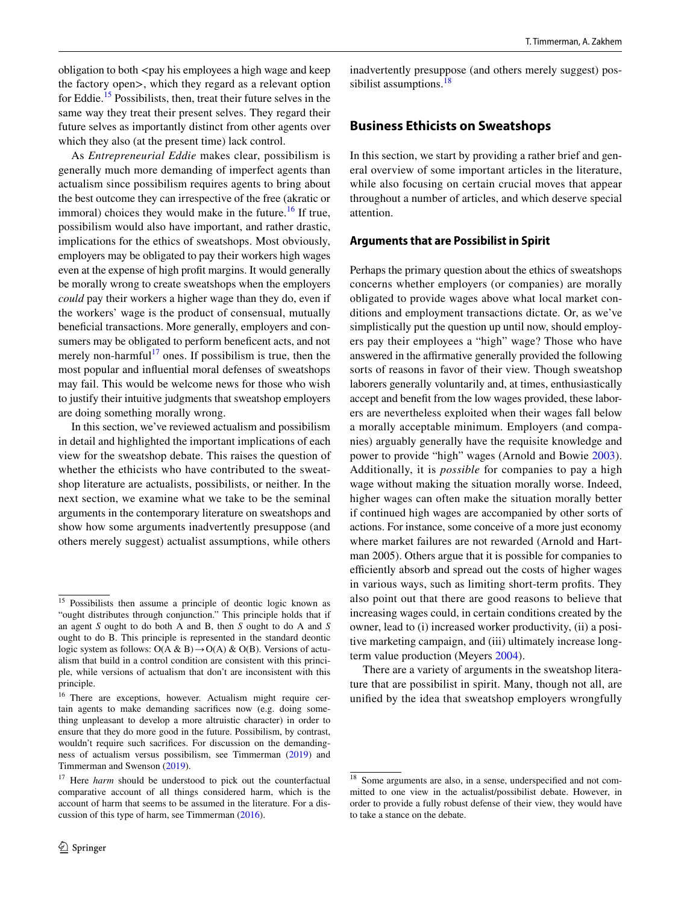obligation to both  $\langle$  pay his employees a high wage and keep the factory open>, which they regard as a relevant option for Eddie.<sup>15</sup> Possibilists, then, treat their future selves in the same way they treat their present selves. They regard their future selves as importantly distinct from other agents over which they also (at the present time) lack control.

As *Entrepreneurial Eddie* makes clear, possibilism is generally much more demanding of imperfect agents than actualism since possibilism requires agents to bring about the best outcome they can irrespective of the free (akratic or immoral) choices they would make in the future.<sup>[16](#page-3-1)</sup> If true, possibilism would also have important, and rather drastic, implications for the ethics of sweatshops. Most obviously, employers may be obligated to pay their workers high wages even at the expense of high proft margins. It would generally be morally wrong to create sweatshops when the employers *could* pay their workers a higher wage than they do, even if the workers' wage is the product of consensual, mutually benefcial transactions. More generally, employers and consumers may be obligated to perform beneficent acts, and not merely non-harmful<sup>17</sup> ones. If possibilism is true, then the most popular and infuential moral defenses of sweatshops may fail. This would be welcome news for those who wish to justify their intuitive judgments that sweatshop employers are doing something morally wrong.

In this section, we've reviewed actualism and possibilism in detail and highlighted the important implications of each view for the sweatshop debate. This raises the question of whether the ethicists who have contributed to the sweatshop literature are actualists, possibilists, or neither. In the next section, we examine what we take to be the seminal arguments in the contemporary literature on sweatshops and show how some arguments inadvertently presuppose (and others merely suggest) actualist assumptions, while others

inadvertently presuppose (and others merely suggest) pos-sibilist assumptions.<sup>[18](#page-3-3)</sup>

# **Business Ethicists on Sweatshops**

In this section, we start by providing a rather brief and general overview of some important articles in the literature, while also focusing on certain crucial moves that appear throughout a number of articles, and which deserve special attention.

#### **Arguments that are Possibilist in Spirit**

Perhaps the primary question about the ethics of sweatshops concerns whether employers (or companies) are morally obligated to provide wages above what local market conditions and employment transactions dictate. Or, as we've simplistically put the question up until now, should employers pay their employees a "high" wage? Those who have answered in the affirmative generally provided the following sorts of reasons in favor of their view. Though sweatshop laborers generally voluntarily and, at times, enthusiastically accept and beneft from the low wages provided, these laborers are nevertheless exploited when their wages fall below a morally acceptable minimum. Employers (and companies) arguably generally have the requisite knowledge and power to provide "high" wages (Arnold and Bowie [2003](#page-10-14)). Additionally, it is *possible* for companies to pay a high wage without making the situation morally worse. Indeed, higher wages can often make the situation morally better if continued high wages are accompanied by other sorts of actions. For instance, some conceive of a more just economy where market failures are not rewarded (Arnold and Hartman 2005). Others argue that it is possible for companies to efficiently absorb and spread out the costs of higher wages in various ways, such as limiting short-term profts. They also point out that there are good reasons to believe that increasing wages could, in certain conditions created by the owner, lead to (i) increased worker productivity, (ii) a positive marketing campaign, and (iii) ultimately increase longterm value production (Meyers [2004](#page-10-16)).

There are a variety of arguments in the sweatshop literature that are possibilist in spirit. Many, though not all, are unifed by the idea that sweatshop employers wrongfully

<span id="page-3-0"></span><sup>&</sup>lt;sup>15</sup> Possibilists then assume a principle of deontic logic known as "ought distributes through conjunction." This principle holds that if an agent *S* ought to do both A and B, then *S* ought to do A and *S* ought to do B. This principle is represented in the standard deontic logic system as follows:  $O(A \& B) \rightarrow O(A) \& O(B)$ . Versions of actualism that build in a control condition are consistent with this principle, while versions of actualism that don't are inconsistent with this principle.

<span id="page-3-1"></span><sup>&</sup>lt;sup>16</sup> There are exceptions, however. Actualism might require certain agents to make demanding sacrifces now (e.g. doing something unpleasant to develop a more altruistic character) in order to ensure that they do more good in the future. Possibilism, by contrast, wouldn't require such sacrifces. For discussion on the demandingness of actualism versus possibilism, see Timmerman ([2019\)](#page-11-17) and Timmerman and Swenson [\(2019](#page-11-18)).

<span id="page-3-2"></span><sup>&</sup>lt;sup>17</sup> Here *harm* should be understood to pick out the counterfactual comparative account of all things considered harm, which is the account of harm that seems to be assumed in the literature. For a discussion of this type of harm, see Timmerman [\(2016](#page-11-19)).

<span id="page-3-3"></span><sup>18</sup> Some arguments are also, in a sense, underspecifed and not committed to one view in the actualist/possibilist debate. However, in order to provide a fully robust defense of their view, they would have to take a stance on the debate.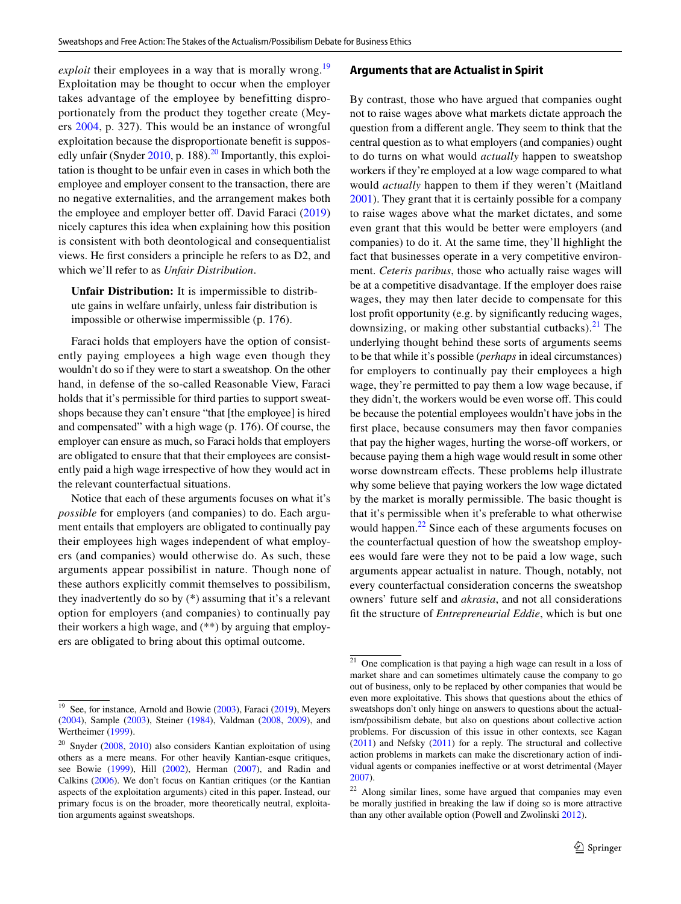*exploit* their employees in a way that is morally wrong.<sup>[19](#page-4-0)</sup> Exploitation may be thought to occur when the employer takes advantage of the employee by benefitting disproportionately from the product they together create (Meyers [2004,](#page-10-16) p. 327). This would be an instance of wrongful exploitation because the disproportionate beneft is suppos-edly unfair (Snyder [2010](#page-11-12), p. 188).<sup>[20](#page-4-1)</sup> Importantly, this exploitation is thought to be unfair even in cases in which both the employee and employer consent to the transaction, there are no negative externalities, and the arrangement makes both the employee and employer better off. David Faraci ([2019\)](#page-10-18) nicely captures this idea when explaining how this position is consistent with both deontological and consequentialist views. He frst considers a principle he refers to as D2, and which we'll refer to as *Unfair Distribution*.

**Unfair Distribution:** It is impermissible to distribute gains in welfare unfairly, unless fair distribution is impossible or otherwise impermissible (p. 176).

Faraci holds that employers have the option of consistently paying employees a high wage even though they wouldn't do so if they were to start a sweatshop. On the other hand, in defense of the so-called Reasonable View, Faraci holds that it's permissible for third parties to support sweatshops because they can't ensure "that [the employee] is hired and compensated" with a high wage (p. 176). Of course, the employer can ensure as much, so Faraci holds that employers are obligated to ensure that that their employees are consistently paid a high wage irrespective of how they would act in the relevant counterfactual situations.

Notice that each of these arguments focuses on what it's *possible* for employers (and companies) to do. Each argument entails that employers are obligated to continually pay their employees high wages independent of what employers (and companies) would otherwise do. As such, these arguments appear possibilist in nature. Though none of these authors explicitly commit themselves to possibilism, they inadvertently do so by (\*) assuming that it's a relevant option for employers (and companies) to continually pay their workers a high wage, and (\*\*) by arguing that employers are obligated to bring about this optimal outcome.

#### **Arguments that are Actualist in Spirit**

By contrast, those who have argued that companies ought not to raise wages above what markets dictate approach the question from a diferent angle. They seem to think that the central question as to what employers (and companies) ought to do turns on what would *actually* happen to sweatshop workers if they're employed at a low wage compared to what would *actually* happen to them if they weren't (Maitland [2001](#page-10-23)). They grant that it is certainly possible for a company to raise wages above what the market dictates, and some even grant that this would be better were employers (and companies) to do it. At the same time, they'll highlight the fact that businesses operate in a very competitive environment. *Ceteris paribus*, those who actually raise wages will be at a competitive disadvantage. If the employer does raise wages, they may then later decide to compensate for this lost profit opportunity (e.g. by significantly reducing wages, downsizing, or making other substantial cutbacks). <sup>[21](#page-4-2)</sup> The underlying thought behind these sorts of arguments seems to be that while it's possible (*perhaps* in ideal circumstances) for employers to continually pay their employees a high wage, they're permitted to pay them a low wage because, if they didn't, the workers would be even worse off. This could be because the potential employees wouldn't have jobs in the frst place, because consumers may then favor companies that pay the higher wages, hurting the worse-off workers, or because paying them a high wage would result in some other worse downstream effects. These problems help illustrate why some believe that paying workers the low wage dictated by the market is morally permissible. The basic thought is that it's permissible when it's preferable to what otherwise would happen.<sup>22</sup> Since each of these arguments focuses on the counterfactual question of how the sweatshop employees would fare were they not to be paid a low wage, such arguments appear actualist in nature. Though, notably, not every counterfactual consideration concerns the sweatshop owners' future self and *akrasia*, and not all considerations ft the structure of *Entrepreneurial Eddie*, which is but one

<span id="page-4-0"></span> $19$  See, for instance, Arnold and Bowie ([2003\)](#page-10-14), Faraci ([2019\)](#page-10-18), Meyers ([2004\)](#page-10-16), Sample [\(2003](#page-11-22)), Steiner ([1984\)](#page-11-13), Valdman ([2008,](#page-11-23) [2009](#page-11-24)), and Wertheimer [\(1999](#page-11-14)).

<span id="page-4-1"></span> $20$  Snyder ([2008,](#page-11-10) [2010\)](#page-11-12) also considers Kantian exploitation of using others as a mere means. For other heavily Kantian-esque critiques, see Bowie ([1999\)](#page-10-24), Hill ([2002\)](#page-10-25), Herman [\(2007](#page-10-26)), and Radin and Calkins ([2006\)](#page-11-20). We don't focus on Kantian critiques (or the Kantian aspects of the exploitation arguments) cited in this paper. Instead, our primary focus is on the broader, more theoretically neutral, exploitation arguments against sweatshops.

<span id="page-4-2"></span><sup>21</sup> One complication is that paying a high wage can result in a loss of market share and can sometimes ultimately cause the company to go out of business, only to be replaced by other companies that would be even more exploitative. This shows that questions about the ethics of sweatshops don't only hinge on answers to questions about the actualism/possibilism debate, but also on questions about collective action problems. For discussion of this issue in other contexts, see Kagan ([2011\)](#page-10-27) and Nefsky [\(2011](#page-11-21)) for a reply. The structural and collective action problems in markets can make the discretionary action of individual agents or companies inefective or at worst detrimental (Mayer [2007](#page-10-15)).

<span id="page-4-3"></span><sup>22</sup> Along similar lines, some have argued that companies may even be morally justifed in breaking the law if doing so is more attractive than any other available option (Powell and Zwolinski [2012\)](#page-11-16).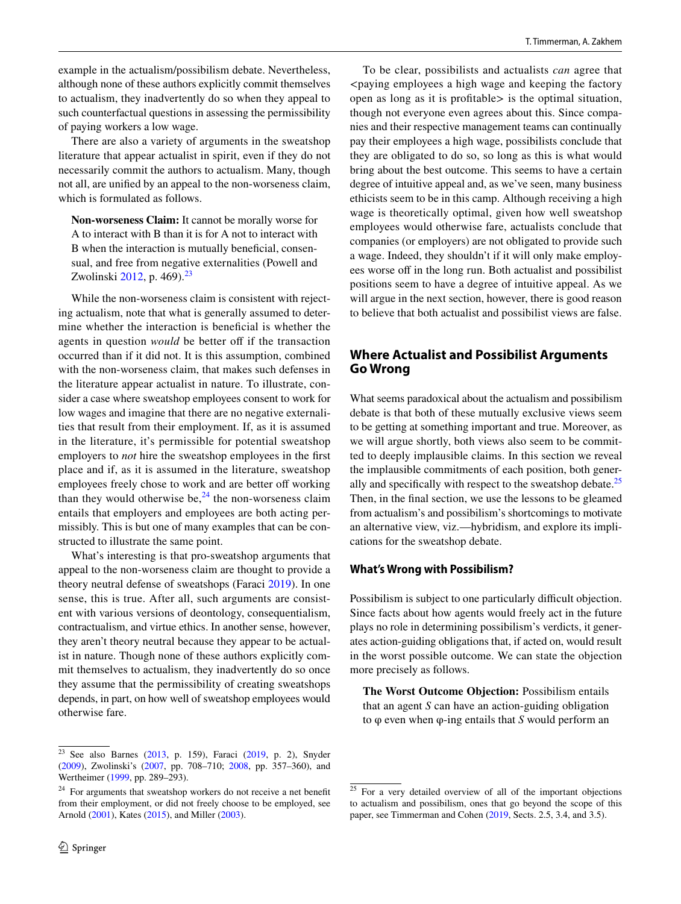example in the actualism/possibilism debate. Nevertheless, although none of these authors explicitly commit themselves to actualism, they inadvertently do so when they appeal to such counterfactual questions in assessing the permissibility of paying workers a low wage.

There are also a variety of arguments in the sweatshop literature that appear actualist in spirit, even if they do not necessarily commit the authors to actualism. Many, though not all, are unifed by an appeal to the non-worseness claim, which is formulated as follows.

**Non-worseness Claim:** It cannot be morally worse for A to interact with B than it is for A not to interact with B when the interaction is mutually benefcial, consensual, and free from negative externalities (Powell and Zwolinski [2012](#page-11-16), p. 469). $^{23}$  $^{23}$  $^{23}$ 

While the non-worseness claim is consistent with rejecting actualism, note that what is generally assumed to determine whether the interaction is benefcial is whether the agents in question *would* be better off if the transaction occurred than if it did not. It is this assumption, combined with the non-worseness claim, that makes such defenses in the literature appear actualist in nature. To illustrate, consider a case where sweatshop employees consent to work for low wages and imagine that there are no negative externalities that result from their employment. If, as it is assumed in the literature, it's permissible for potential sweatshop employers to *not* hire the sweatshop employees in the frst place and if, as it is assumed in the literature, sweatshop employees freely chose to work and are better off working than they would otherwise be,  $24$  the non-worseness claim entails that employers and employees are both acting permissibly. This is but one of many examples that can be constructed to illustrate the same point.

What's interesting is that pro-sweatshop arguments that appeal to the non-worseness claim are thought to provide a theory neutral defense of sweatshops (Faraci [2019\)](#page-10-18). In one sense, this is true. After all, such arguments are consistent with various versions of deontology, consequentialism, contractualism, and virtue ethics. In another sense, however, they aren't theory neutral because they appear to be actualist in nature. Though none of these authors explicitly commit themselves to actualism, they inadvertently do so once they assume that the permissibility of creating sweatshops depends, in part, on how well of sweatshop employees would otherwise fare.

To be clear, possibilists and actualists *can* agree that <paying employees a high wage and keeping the factory open as long as it is proftable> is the optimal situation, though not everyone even agrees about this. Since companies and their respective management teams can continually pay their employees a high wage, possibilists conclude that they are obligated to do so, so long as this is what would bring about the best outcome. This seems to have a certain degree of intuitive appeal and, as we've seen, many business ethicists seem to be in this camp. Although receiving a high wage is theoretically optimal, given how well sweatshop employees would otherwise fare, actualists conclude that companies (or employers) are not obligated to provide such a wage. Indeed, they shouldn't if it will only make employees worse off in the long run. Both actualist and possibilist positions seem to have a degree of intuitive appeal. As we will argue in the next section, however, there is good reason to believe that both actualist and possibilist views are false.

# **Where Actualist and Possibilist Arguments Go Wrong**

What seems paradoxical about the actualism and possibilism debate is that both of these mutually exclusive views seem to be getting at something important and true. Moreover, as we will argue shortly, both views also seem to be committed to deeply implausible claims. In this section we reveal the implausible commitments of each position, both generally and specifically with respect to the sweatshop debate.<sup>25</sup> Then, in the fnal section, we use the lessons to be gleamed from actualism's and possibilism's shortcomings to motivate an alternative view, viz.—hybridism, and explore its implications for the sweatshop debate.

#### **What's Wrong with Possibilism?**

Possibilism is subject to one particularly difficult objection. Since facts about how agents would freely act in the future plays no role in determining possibilism's verdicts, it generates action-guiding obligations that, if acted on, would result in the worst possible outcome. We can state the objection more precisely as follows.

**The Worst Outcome Objection:** Possibilism entails that an agent *S* can have an action-guiding obligation to φ even when φ-ing entails that *S* would perform an

<span id="page-5-0"></span> $\frac{23}{23}$  See also Barnes ([2013,](#page-10-22) p. 159), Faraci ([2019,](#page-10-18) p. 2), Snyder ([2009\)](#page-11-11), Zwolinski's [\(2007](#page-11-25), pp. 708–710; [2008](#page-11-15), pp. 357–360), and Wertheimer [\(1999](#page-11-14), pp. 289–293).

<span id="page-5-1"></span><sup>&</sup>lt;sup>24</sup> For arguments that sweatshop workers do not receive a net benefit from their employment, or did not freely choose to be employed, see Arnold [\(2001](#page-10-28)), Kates ([2015\)](#page-10-29), and Miller [\(2003](#page-10-30)).

<span id="page-5-2"></span><sup>&</sup>lt;sup>25</sup> For a very detailed overview of all of the important objections to actualism and possibilism, ones that go beyond the scope of this paper, see Timmerman and Cohen ([2019,](#page-11-26) Sects. 2.5, 3.4, and 3.5).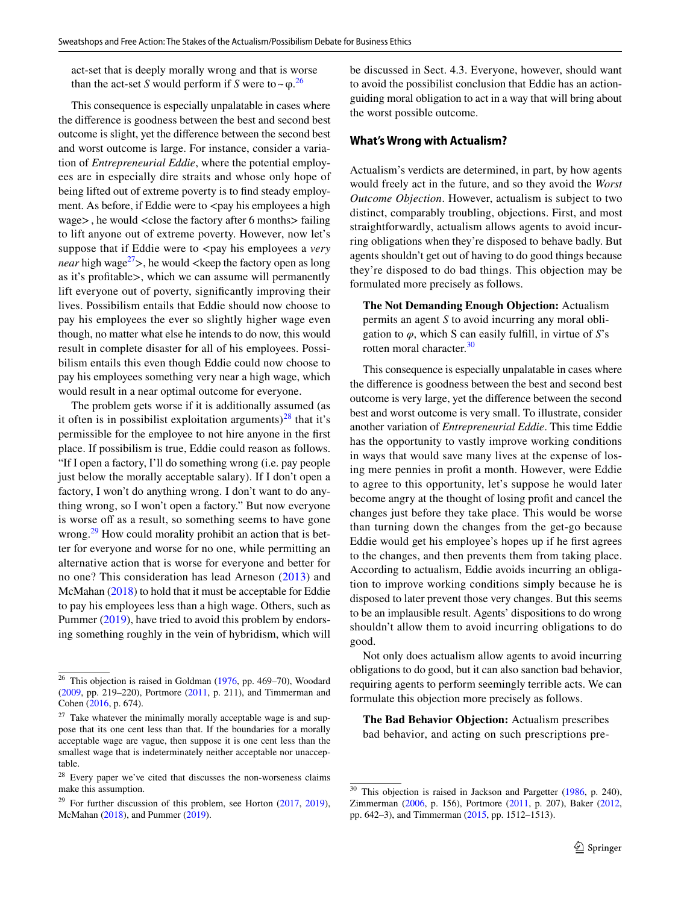act-set that is deeply morally wrong and that is worse than the act-set *S* would perform if *S* were to  $\sim \varphi$ .<sup>[26](#page-6-0)</sup>

This consequence is especially unpalatable in cases where the diference is goodness between the best and second best outcome is slight, yet the diference between the second best and worst outcome is large. For instance, consider a variation of *Entrepreneurial Eddie*, where the potential employees are in especially dire straits and whose only hope of being lifted out of extreme poverty is to fnd steady employment. As before, if Eddie were to <pay his employees a high wage>, he would <close the factory after 6 months> failing to lift anyone out of extreme poverty. However, now let's suppose that if Eddie were to <pay his employees a *very near* high wage<sup>27</sup>>, he would <keep the factory open as long as it's proftable>, which we can assume will permanently lift everyone out of poverty, signifcantly improving their lives. Possibilism entails that Eddie should now choose to pay his employees the ever so slightly higher wage even though, no matter what else he intends to do now, this would result in complete disaster for all of his employees. Possibilism entails this even though Eddie could now choose to pay his employees something very near a high wage, which would result in a near optimal outcome for everyone.

The problem gets worse if it is additionally assumed (as it often is in possibilist exploitation arguments)<sup>[28](#page-6-2)</sup> that it's permissible for the employee to not hire anyone in the frst place. If possibilism is true, Eddie could reason as follows. "If I open a factory, I'll do something wrong (i.e. pay people just below the morally acceptable salary). If I don't open a factory, I won't do anything wrong. I don't want to do anything wrong, so I won't open a factory." But now everyone is worse off as a result, so something seems to have gone wrong.<sup>[29](#page-6-3)</sup> How could morality prohibit an action that is better for everyone and worse for no one, while permitting an alternative action that is worse for everyone and better for no one? This consideration has lead Arneson [\(2013\)](#page-10-31) and McMahan [\(2018\)](#page-10-32) to hold that it must be acceptable for Eddie to pay his employees less than a high wage. Others, such as Pummer ([2019\)](#page-11-27), have tried to avoid this problem by endorsing something roughly in the vein of hybridism, which will

be discussed in Sect. 4.3. Everyone, however, should want to avoid the possibilist conclusion that Eddie has an actionguiding moral obligation to act in a way that will bring about the worst possible outcome.

#### **What's Wrong with Actualism?**

Actualism's verdicts are determined, in part, by how agents would freely act in the future, and so they avoid the *Worst Outcome Objection*. However, actualism is subject to two distinct, comparably troubling, objections. First, and most straightforwardly, actualism allows agents to avoid incurring obligations when they're disposed to behave badly. But agents shouldn't get out of having to do good things because they're disposed to do bad things. This objection may be formulated more precisely as follows.

**The Not Demanding Enough Objection:** Actualism permits an agent *S* to avoid incurring any moral obligation to *φ*, which S can easily fulfll, in virtue of *S*'s rotten moral character.<sup>[30](#page-6-4)</sup>

This consequence is especially unpalatable in cases where the diference is goodness between the best and second best outcome is very large, yet the diference between the second best and worst outcome is very small. To illustrate, consider another variation of *Entrepreneurial Eddie*. This time Eddie has the opportunity to vastly improve working conditions in ways that would save many lives at the expense of losing mere pennies in proft a month. However, were Eddie to agree to this opportunity, let's suppose he would later become angry at the thought of losing proft and cancel the changes just before they take place. This would be worse than turning down the changes from the get-go because Eddie would get his employee's hopes up if he frst agrees to the changes, and then prevents them from taking place. According to actualism, Eddie avoids incurring an obligation to improve working conditions simply because he is disposed to later prevent those very changes. But this seems to be an implausible result. Agents' dispositions to do wrong shouldn't allow them to avoid incurring obligations to do good.

Not only does actualism allow agents to avoid incurring obligations to do good, but it can also sanction bad behavior, requiring agents to perform seemingly terrible acts. We can formulate this objection more precisely as follows.

**The Bad Behavior Objection:** Actualism prescribes bad behavior, and acting on such prescriptions pre-

<span id="page-6-0"></span> $\frac{26}{10}$  This objection is raised in Goldman [\(1976](#page-10-34), pp. 469–70), Woodard ([2009,](#page-11-29) pp. 219–220), Portmore ([2011,](#page-11-1) p. 211), and Timmerman and Cohen [\(2016](#page-11-7), p. 674).

<span id="page-6-1"></span> $27$  Take whatever the minimally morally acceptable wage is and suppose that its one cent less than that. If the boundaries for a morally acceptable wage are vague, then suppose it is one cent less than the smallest wage that is indeterminately neither acceptable nor unacceptable.

<span id="page-6-2"></span><sup>28</sup> Every paper we've cited that discusses the non-worseness claims make this assumption.

<span id="page-6-3"></span> $29$  For further discussion of this problem, see Horton ([2017,](#page-10-35) [2019](#page-10-36)), McMahan ([2018\)](#page-10-32), and Pummer [\(2019](#page-11-27)).

<span id="page-6-4"></span><sup>&</sup>lt;sup>30</sup> This objection is raised in Jackson and Pargetter [\(1986](#page-10-1), p. 240), Zimmerman ([2006,](#page-11-28) p. 156), Portmore ([2011,](#page-11-1) p. 207), Baker [\(2012](#page-10-33), pp. 642–3), and Timmerman ([2015,](#page-11-6) pp. 1512–1513).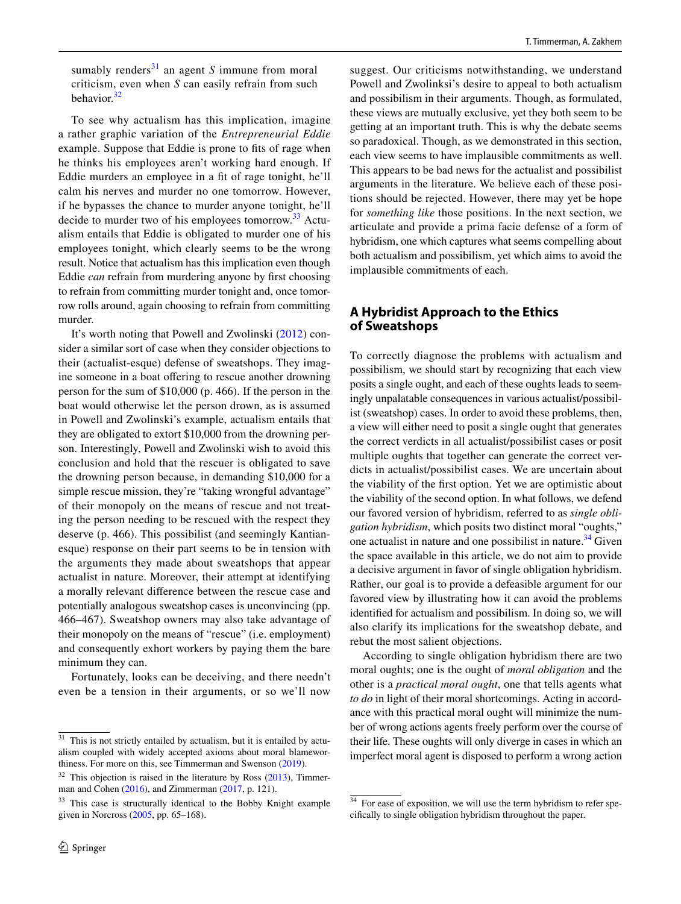sumably renders $31$  an agent *S* immune from moral criticism, even when *S* can easily refrain from such behavior.<sup>[32](#page-7-1)</sup>

To see why actualism has this implication, imagine a rather graphic variation of the *Entrepreneurial Eddie* example. Suppose that Eddie is prone to fits of rage when he thinks his employees aren't working hard enough. If Eddie murders an employee in a ft of rage tonight, he'll calm his nerves and murder no one tomorrow. However, if he bypasses the chance to murder anyone tonight, he'll decide to murder two of his employees tomorrow.<sup>[33](#page-7-2)</sup> Actualism entails that Eddie is obligated to murder one of his employees tonight, which clearly seems to be the wrong result. Notice that actualism has this implication even though Eddie *can* refrain from murdering anyone by frst choosing to refrain from committing murder tonight and, once tomorrow rolls around, again choosing to refrain from committing murder.

It's worth noting that Powell and Zwolinski ([2012](#page-11-16)) consider a similar sort of case when they consider objections to their (actualist-esque) defense of sweatshops. They imagine someone in a boat offering to rescue another drowning person for the sum of \$10,000 (p. 466). If the person in the boat would otherwise let the person drown, as is assumed in Powell and Zwolinski's example, actualism entails that they are obligated to extort \$10,000 from the drowning person. Interestingly, Powell and Zwolinski wish to avoid this conclusion and hold that the rescuer is obligated to save the drowning person because, in demanding \$10,000 for a simple rescue mission, they're "taking wrongful advantage" of their monopoly on the means of rescue and not treating the person needing to be rescued with the respect they deserve (p. 466). This possibilist (and seemingly Kantianesque) response on their part seems to be in tension with the arguments they made about sweatshops that appear actualist in nature. Moreover, their attempt at identifying a morally relevant diference between the rescue case and potentially analogous sweatshop cases is unconvincing (pp. 466–467). Sweatshop owners may also take advantage of their monopoly on the means of "rescue" (i.e. employment) and consequently exhort workers by paying them the bare minimum they can.

Fortunately, looks can be deceiving, and there needn't even be a tension in their arguments, or so we'll now

suggest. Our criticisms notwithstanding, we understand Powell and Zwolinksi's desire to appeal to both actualism and possibilism in their arguments. Though, as formulated, these views are mutually exclusive, yet they both seem to be getting at an important truth. This is why the debate seems so paradoxical. Though, as we demonstrated in this section, each view seems to have implausible commitments as well. This appears to be bad news for the actualist and possibilist arguments in the literature. We believe each of these positions should be rejected. However, there may yet be hope for *something like* those positions. In the next section, we articulate and provide a prima facie defense of a form of hybridism, one which captures what seems compelling about both actualism and possibilism, yet which aims to avoid the implausible commitments of each.

# **A Hybridist Approach to the Ethics of Sweatshops**

To correctly diagnose the problems with actualism and possibilism, we should start by recognizing that each view posits a single ought, and each of these oughts leads to seemingly unpalatable consequences in various actualist/possibilist (sweatshop) cases. In order to avoid these problems, then, a view will either need to posit a single ought that generates the correct verdicts in all actualist/possibilist cases or posit multiple oughts that together can generate the correct verdicts in actualist/possibilist cases. We are uncertain about the viability of the frst option. Yet we are optimistic about the viability of the second option. In what follows, we defend our favored version of hybridism, referred to as *single obligation hybridism*, which posits two distinct moral "oughts," one actualist in nature and one possibilist in nature. $34$  Given the space available in this article, we do not aim to provide a decisive argument in favor of single obligation hybridism. Rather, our goal is to provide a defeasible argument for our favored view by illustrating how it can avoid the problems identifed for actualism and possibilism. In doing so, we will also clarify its implications for the sweatshop debate, and rebut the most salient objections.

According to single obligation hybridism there are two moral oughts; one is the ought of *moral obligation* and the other is a *practical moral ought*, one that tells agents what *to do* in light of their moral shortcomings. Acting in accordance with this practical moral ought will minimize the number of wrong actions agents freely perform over the course of their life. These oughts will only diverge in cases in which an imperfect moral agent is disposed to perform a wrong action

<span id="page-7-0"></span> $31$  This is not strictly entailed by actualism, but it is entailed by actualism coupled with widely accepted axioms about moral blameworthiness. For more on this, see Timmerman and Swenson ([2019\)](#page-11-18).

<span id="page-7-1"></span> $32$  This objection is raised in the literature by Ross [\(2013](#page-11-9)), Timmerman and Cohen [\(2016](#page-11-7)), and Zimmerman ([2017,](#page-11-30) p. 121).

<span id="page-7-2"></span><sup>&</sup>lt;sup>33</sup> This case is structurally identical to the Bobby Knight example given in Norcross [\(2005](#page-11-31), pp. 65–168).

<span id="page-7-3"></span><sup>&</sup>lt;sup>34</sup> For ease of exposition, we will use the term hybridism to refer specifcally to single obligation hybridism throughout the paper.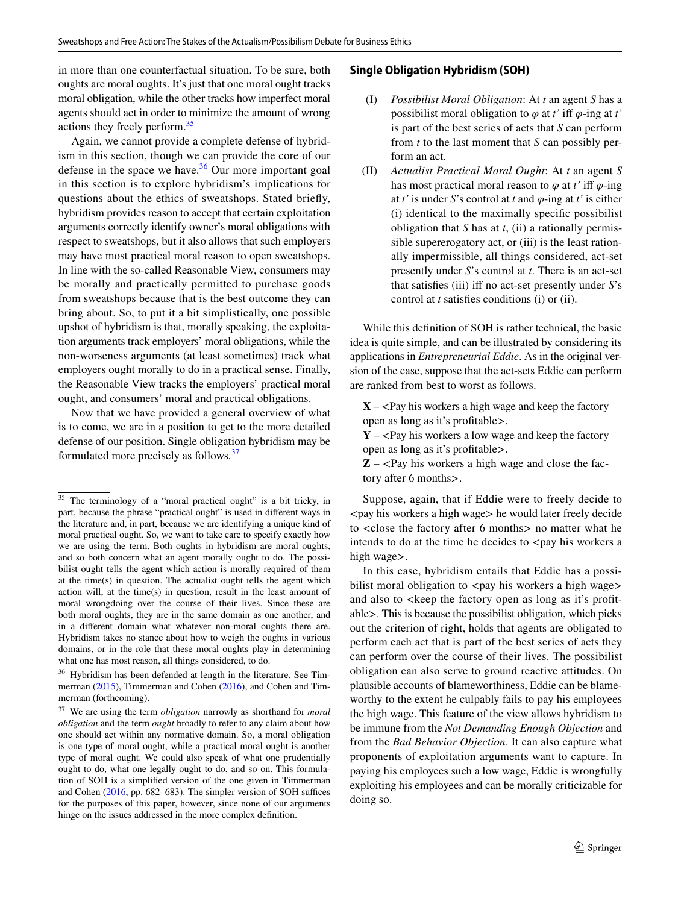in more than one counterfactual situation. To be sure, both oughts are moral oughts. It's just that one moral ought tracks moral obligation, while the other tracks how imperfect moral agents should act in order to minimize the amount of wrong actions they freely perform.[35](#page-8-0)

Again, we cannot provide a complete defense of hybridism in this section, though we can provide the core of our defense in the space we have. $36$  Our more important goal in this section is to explore hybridism's implications for questions about the ethics of sweatshops. Stated briefy, hybridism provides reason to accept that certain exploitation arguments correctly identify owner's moral obligations with respect to sweatshops, but it also allows that such employers may have most practical moral reason to open sweatshops. In line with the so-called Reasonable View, consumers may be morally and practically permitted to purchase goods from sweatshops because that is the best outcome they can bring about. So, to put it a bit simplistically, one possible upshot of hybridism is that, morally speaking, the exploitation arguments track employers' moral obligations, while the non-worseness arguments (at least sometimes) track what employers ought morally to do in a practical sense. Finally, the Reasonable View tracks the employers' practical moral ought, and consumers' moral and practical obligations.

Now that we have provided a general overview of what is to come, we are in a position to get to the more detailed defense of our position. Single obligation hybridism may be formulated more precisely as follows*.* [37](#page-8-2)

#### **Single Obligation Hybridism (SOH)**

- (I) *Possibilist Moral Obligation*: At *t* an agent *S* has a possibilist moral obligation to  $\varphi$  at *t'* iff  $\varphi$ -ing at *t'* is part of the best series of acts that *S* can perform from *t* to the last moment that *S* can possibly perform an act.
- (II) *Actualist Practical Moral Ought*: At *t* an agent *S* has most practical moral reason to  $\varphi$  at *t'* iff  $\varphi$ -ing at *t'* is under *S's* control at *t* and  $\varphi$ -ing at *t'* is either (i) identical to the maximally specifc possibilist obligation that *S* has at *t*, (ii) a rationally permissible supererogatory act, or (iii) is the least rationally impermissible, all things considered, act-set presently under *S*'s control at *t*. There is an act-set that satisfes (iii) if no act-set presently under *S*'s control at *t* satisfes conditions (i) or (ii).

While this defnition of SOH is rather technical, the basic idea is quite simple, and can be illustrated by considering its applications in *Entrepreneurial Eddie*. As in the original version of the case, suppose that the act-sets Eddie can perform are ranked from best to worst as follows.

 $X - \langle Pay \rangle$  his workers a high wage and keep the factory open as long as it's proftable>.

 $Y - \langle Pay \rangle$  his workers a low wage and keep the factory open as long as it's proftable>.

 $\mathbb{Z}$  –  $\langle$ Pay his workers a high wage and close the factory after 6 months>.

Suppose, again, that if Eddie were to freely decide to <pay his workers a high wage> he would later freely decide to <close the factory after 6 months> no matter what he intends to do at the time he decides to  $\langle$ pay his workers a high wage >.

In this case, hybridism entails that Eddie has a possibilist moral obligation to <pay his workers a high wage> and also to  $\leq$ keep the factory open as long as it's profitable>. This is because the possibilist obligation, which picks out the criterion of right, holds that agents are obligated to perform each act that is part of the best series of acts they can perform over the course of their lives. The possibilist obligation can also serve to ground reactive attitudes. On plausible accounts of blameworthiness, Eddie can be blameworthy to the extent he culpably fails to pay his employees the high wage. This feature of the view allows hybridism to be immune from the *Not Demanding Enough Objection* and from the *Bad Behavior Objection*. It can also capture what proponents of exploitation arguments want to capture. In paying his employees such a low wage, Eddie is wrongfully exploiting his employees and can be morally criticizable for doing so.

<span id="page-8-0"></span><sup>&</sup>lt;sup>35</sup> The terminology of a "moral practical ought" is a bit tricky, in part, because the phrase "practical ought" is used in diferent ways in the literature and, in part, because we are identifying a unique kind of moral practical ought. So, we want to take care to specify exactly how we are using the term. Both oughts in hybridism are moral oughts, and so both concern what an agent morally ought to do. The possibilist ought tells the agent which action is morally required of them at the time(s) in question. The actualist ought tells the agent which action will, at the time(s) in question, result in the least amount of moral wrongdoing over the course of their lives. Since these are both moral oughts, they are in the same domain as one another, and in a diferent domain what whatever non-moral oughts there are. Hybridism takes no stance about how to weigh the oughts in various domains, or in the role that these moral oughts play in determining what one has most reason, all things considered, to do.

<span id="page-8-1"></span><sup>&</sup>lt;sup>36</sup> Hybridism has been defended at length in the literature. See Timmerman [\(2015](#page-11-6)), Timmerman and Cohen ([2016\)](#page-11-7), and Cohen and Timmerman (forthcoming).

<span id="page-8-2"></span><sup>37</sup> We are using the term *obligation* narrowly as shorthand for *moral obligation* and the term *ought* broadly to refer to any claim about how one should act within any normative domain. So, a moral obligation is one type of moral ought, while a practical moral ought is another type of moral ought. We could also speak of what one prudentially ought to do, what one legally ought to do, and so on. This formulation of SOH is a simplifed version of the one given in Timmerman and Cohen  $(2016, pp. 682–683)$  $(2016, pp. 682–683)$  $(2016, pp. 682–683)$ . The simpler version of SOH suffices for the purposes of this paper, however, since none of our arguments hinge on the issues addressed in the more complex defnition.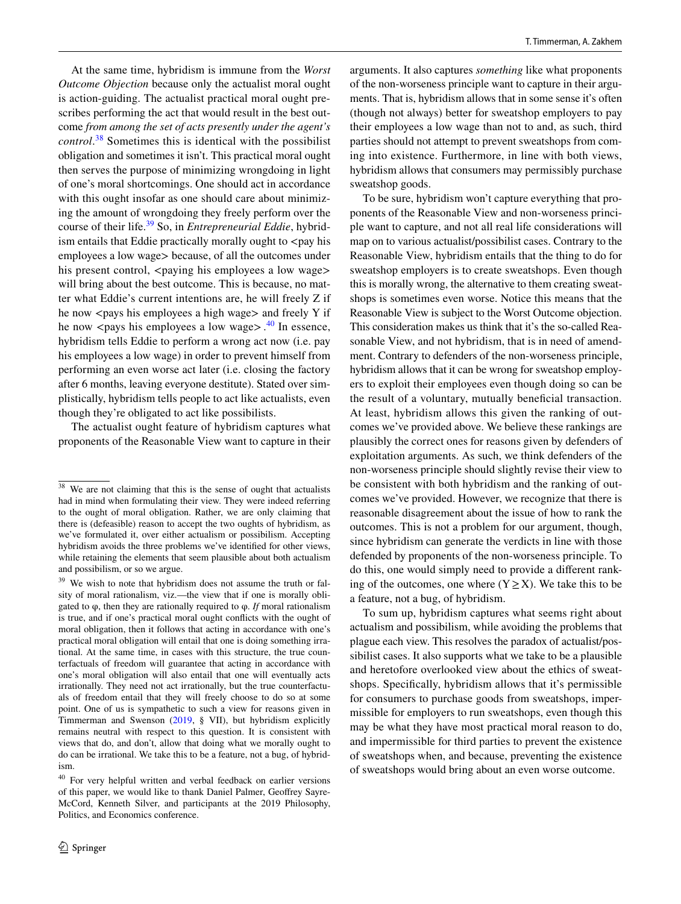At the same time, hybridism is immune from the *Worst Outcome Objection* because only the actualist moral ought is action-guiding. The actualist practical moral ought prescribes performing the act that would result in the best outcome *from among the set of acts presently under the agent's control*. [38](#page-9-0) Sometimes this is identical with the possibilist obligation and sometimes it isn't. This practical moral ought then serves the purpose of minimizing wrongdoing in light of one's moral shortcomings. One should act in accordance with this ought insofar as one should care about minimizing the amount of wrongdoing they freely perform over the course of their life.[39](#page-9-1) So, in *Entrepreneurial Eddie*, hybridism entails that Eddie practically morally ought to  $\langle$  pay his employees a low wage> because, of all the outcomes under his present control,  $\langle$  paying his employees a low wage> will bring about the best outcome. This is because, no matter what Eddie's current intentions are, he will freely Z if he now <pays his employees a high wage> and freely Y if he now  $\langle$  pays his employees a low wage $>$ .<sup>[40](#page-9-2)</sup> In essence, hybridism tells Eddie to perform a wrong act now (i.e. pay his employees a low wage) in order to prevent himself from performing an even worse act later (i.e. closing the factory after 6 months, leaving everyone destitute). Stated over simplistically, hybridism tells people to act like actualists, even though they're obligated to act like possibilists.

The actualist ought feature of hybridism captures what proponents of the Reasonable View want to capture in their arguments. It also captures *something* like what proponents of the non-worseness principle want to capture in their arguments. That is, hybridism allows that in some sense it's often (though not always) better for sweatshop employers to pay their employees a low wage than not to and, as such, third parties should not attempt to prevent sweatshops from coming into existence. Furthermore, in line with both views, hybridism allows that consumers may permissibly purchase sweatshop goods.

To be sure, hybridism won't capture everything that proponents of the Reasonable View and non-worseness principle want to capture, and not all real life considerations will map on to various actualist/possibilist cases. Contrary to the Reasonable View, hybridism entails that the thing to do for sweatshop employers is to create sweatshops. Even though this is morally wrong, the alternative to them creating sweatshops is sometimes even worse. Notice this means that the Reasonable View is subject to the Worst Outcome objection. This consideration makes us think that it's the so-called Reasonable View, and not hybridism, that is in need of amendment. Contrary to defenders of the non-worseness principle, hybridism allows that it can be wrong for sweatshop employers to exploit their employees even though doing so can be the result of a voluntary, mutually benefcial transaction. At least, hybridism allows this given the ranking of outcomes we've provided above. We believe these rankings are plausibly the correct ones for reasons given by defenders of exploitation arguments. As such, we think defenders of the non-worseness principle should slightly revise their view to be consistent with both hybridism and the ranking of outcomes we've provided. However, we recognize that there is reasonable disagreement about the issue of how to rank the outcomes. This is not a problem for our argument, though, since hybridism can generate the verdicts in line with those defended by proponents of the non-worseness principle. To do this, one would simply need to provide a diferent ranking of the outcomes, one where  $(Y \ge X)$ . We take this to be a feature, not a bug, of hybridism.

To sum up, hybridism captures what seems right about actualism and possibilism, while avoiding the problems that plague each view. This resolves the paradox of actualist/possibilist cases. It also supports what we take to be a plausible and heretofore overlooked view about the ethics of sweatshops. Specifcally, hybridism allows that it's permissible for consumers to purchase goods from sweatshops, impermissible for employers to run sweatshops, even though this may be what they have most practical moral reason to do, and impermissible for third parties to prevent the existence of sweatshops when, and because, preventing the existence of sweatshops would bring about an even worse outcome.

<span id="page-9-0"></span><sup>&</sup>lt;sup>38</sup> We are not claiming that this is the sense of ought that actualists had in mind when formulating their view. They were indeed referring to the ought of moral obligation. Rather, we are only claiming that there is (defeasible) reason to accept the two oughts of hybridism, as we've formulated it, over either actualism or possibilism. Accepting hybridism avoids the three problems we've identifed for other views, while retaining the elements that seem plausible about both actualism and possibilism, or so we argue.

<span id="page-9-1"></span><sup>&</sup>lt;sup>39</sup> We wish to note that hybridism does not assume the truth or falsity of moral rationalism, viz.—the view that if one is morally obligated to φ, then they are rationally required to φ. *If* moral rationalism is true, and if one's practical moral ought conficts with the ought of moral obligation, then it follows that acting in accordance with one's practical moral obligation will entail that one is doing something irrational. At the same time, in cases with this structure, the true counterfactuals of freedom will guarantee that acting in accordance with one's moral obligation will also entail that one will eventually acts irrationally. They need not act irrationally, but the true counterfactuals of freedom entail that they will freely choose to do so at some point. One of us is sympathetic to such a view for reasons given in Timmerman and Swenson [\(2019](#page-11-18), § VII), but hybridism explicitly remains neutral with respect to this question. It is consistent with views that do, and don't, allow that doing what we morally ought to do can be irrational. We take this to be a feature, not a bug, of hybridism.

<span id="page-9-2"></span><sup>40</sup> For very helpful written and verbal feedback on earlier versions of this paper, we would like to thank Daniel Palmer, Geofrey Sayre-McCord, Kenneth Silver, and participants at the 2019 Philosophy, Politics, and Economics conference.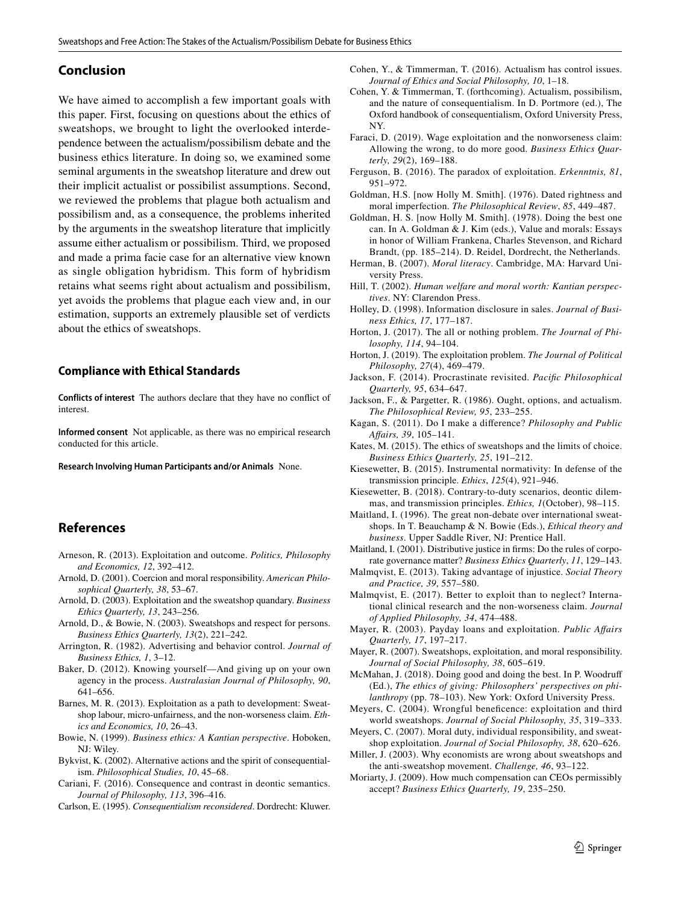## **Conclusion**

We have aimed to accomplish a few important goals with this paper. First, focusing on questions about the ethics of sweatshops, we brought to light the overlooked interdependence between the actualism/possibilism debate and the business ethics literature. In doing so, we examined some seminal arguments in the sweatshop literature and drew out their implicit actualist or possibilist assumptions. Second, we reviewed the problems that plague both actualism and possibilism and, as a consequence, the problems inherited by the arguments in the sweatshop literature that implicitly assume either actualism or possibilism. Third, we proposed and made a prima facie case for an alternative view known as single obligation hybridism. This form of hybridism retains what seems right about actualism and possibilism, yet avoids the problems that plague each view and, in our estimation, supports an extremely plausible set of verdicts about the ethics of sweatshops.

#### **Compliance with Ethical Standards**

**Conflicts of interest** The authors declare that they have no confict of interest.

**Informed consent** Not applicable, as there was no empirical research conducted for this article.

**Research Involving Human Participants and/or Animals** None.

# **References**

- <span id="page-10-31"></span>Arneson, R. (2013). Exploitation and outcome. *Politics, Philosophy and Economics, 12*, 392–412.
- <span id="page-10-28"></span>Arnold, D. (2001). Coercion and moral responsibility. *American Philosophical Quarterly, 38*, 53–67.
- <span id="page-10-13"></span>Arnold, D. (2003). Exploitation and the sweatshop quandary. *Business Ethics Quarterly, 13*, 243–256.
- <span id="page-10-14"></span>Arnold, D., & Bowie, N. (2003). Sweatshops and respect for persons. *Business Ethics Quarterly, 13*(2), 221–242.
- <span id="page-10-4"></span>Arrington, R. (1982). Advertising and behavior control. *Journal of Business Ethics, 1*, 3–12.
- <span id="page-10-33"></span>Baker, D. (2012). Knowing yourself—And giving up on your own agency in the process. *Australasian Journal of Philosophy, 90*, 641–656.
- <span id="page-10-22"></span>Barnes, M. R. (2013). Exploitation as a path to development: Sweatshop labour, micro-unfairness, and the non-worseness claim. *Ethics and Economics, 10*, 26–43.
- <span id="page-10-24"></span>Bowie, N. (1999). *Business ethics: A Kantian perspective*. Hoboken, NJ: Wiley.
- <span id="page-10-10"></span>Bykvist, K. (2002). Alternative actions and the spirit of consequentialism. *Philosophical Studies, 10*, 45–68.
- <span id="page-10-7"></span>Cariani, F. (2016). Consequence and contrast in deontic semantics. *Journal of Philosophy, 113*, 396–416.

<span id="page-10-2"></span>Carlson, E. (1995). *Consequentialism reconsidered*. Dordrecht: Kluwer.

- <span id="page-10-8"></span>Cohen, Y., & Timmerman, T. (2016). Actualism has control issues. *Journal of Ethics and Social Philosophy, 10*, 1–18.
- Cohen, Y. & Timmerman, T. (forthcoming). Actualism, possibilism, and the nature of consequentialism. In D. Portmore (ed.), The Oxford handbook of consequentialism, Oxford University Press, NY.
- <span id="page-10-18"></span>Faraci, D. (2019). Wage exploitation and the nonworseness claim: Allowing the wrong, to do more good. *Business Ethics Quarterly, 29*(2), 169–188.
- <span id="page-10-19"></span>Ferguson, B. (2016). The paradox of exploitation. *Erkenntnis, 81*, 951–972.
- <span id="page-10-34"></span>Goldman, H.S. [now Holly M. Smith]. (1976). Dated rightness and moral imperfection. *The Philosophical Review*, *85*, 449–487.
- <span id="page-10-0"></span>Goldman, H. S. [now Holly M. Smith]. (1978). Doing the best one can. In A. Goldman & J. Kim (eds.), Value and morals: Essays in honor of William Frankena, Charles Stevenson, and Richard Brandt, (pp. 185–214). D. Reidel, Dordrecht, the Netherlands.
- <span id="page-10-26"></span>Herman, B. (2007). *Moral literacy*. Cambridge, MA: Harvard University Press.
- <span id="page-10-25"></span>Hill, T. (2002). *Human welfare and moral worth: Kantian perspectives*. NY: Clarendon Press.
- <span id="page-10-3"></span>Holley, D. (1998). Information disclosure in sales. *Journal of Business Ethics, 17*, 177–187.
- <span id="page-10-35"></span>Horton, J. (2017). The all or nothing problem. *The Journal of Philosophy, 114*, 94–104.
- <span id="page-10-36"></span>Horton, J. (2019). The exploitation problem. *The Journal of Political Philosophy, 27*(4), 469–479.
- <span id="page-10-11"></span>Jackson, F. (2014). Procrastinate revisited. *Pacifc Philosophical Quarterly, 95*, 634–647.
- <span id="page-10-1"></span>Jackson, F., & Pargetter, R. (1986). Ought, options, and actualism. *The Philosophical Review, 95*, 233–255.
- <span id="page-10-27"></span>Kagan, S. (2011). Do I make a diference? *Philosophy and Public Afairs, 39*, 105–141.
- <span id="page-10-29"></span>Kates, M. (2015). The ethics of sweatshops and the limits of choice. *Business Ethics Quarterly, 25*, 191–212.
- <span id="page-10-9"></span>Kiesewetter, B. (2015). Instrumental normativity: In defense of the transmission principle. *Ethics*, *125*(4), 921–946.
- Kiesewetter, B. (2018). Contrary-to-duty scenarios, deontic dilemmas, and transmission principles. *Ethics, 1*(October), 98–115.
- <span id="page-10-12"></span>Maitland, I. (1996). The great non-debate over international sweatshops. In T. Beauchamp & N. Bowie (Eds.), *Ethical theory and business*. Upper Saddle River, NJ: Prentice Hall.
- <span id="page-10-23"></span>Maitland, I. (2001). Distributive justice in frms: Do the rules of corporate governance matter? *Business Ethics Quarterly*, *11*, 129–143.
- <span id="page-10-21"></span>Malmqvist, E. (2013). Taking advantage of injustice. *Social Theory and Practice, 39*, 557–580.
- <span id="page-10-20"></span>Malmqvist, E. (2017). Better to exploit than to neglect? International clinical research and the non-worseness claim. *Journal of Applied Philosophy, 34*, 474–488.
- <span id="page-10-5"></span>Mayer, R. (2003). Payday loans and exploitation. *Public Afairs Quarterly, 17*, 197–217.
- <span id="page-10-15"></span>Mayer, R. (2007). Sweatshops, exploitation, and moral responsibility. *Journal of Social Philosophy, 38*, 605–619.
- <span id="page-10-32"></span>McMahan, J. (2018). Doing good and doing the best. In P. Woodruf (Ed.), *The ethics of giving: Philosophers' perspectives on philanthropy* (pp. 78–103). New York: Oxford University Press.
- <span id="page-10-16"></span>Meyers, C. (2004). Wrongful benefcence: exploitation and third world sweatshops. *Journal of Social Philosophy, 35*, 319–333.
- <span id="page-10-17"></span>Meyers, C. (2007). Moral duty, individual responsibility, and sweatshop exploitation. *Journal of Social Philosophy, 38*, 620–626.
- <span id="page-10-30"></span>Miller, J. (2003). Why economists are wrong about sweatshops and the anti-sweatshop movement. *Challenge, 46*, 93–122.
- <span id="page-10-6"></span>Moriarty, J. (2009). How much compensation can CEOs permissibly accept? *Business Ethics Quarterly, 19*, 235–250.